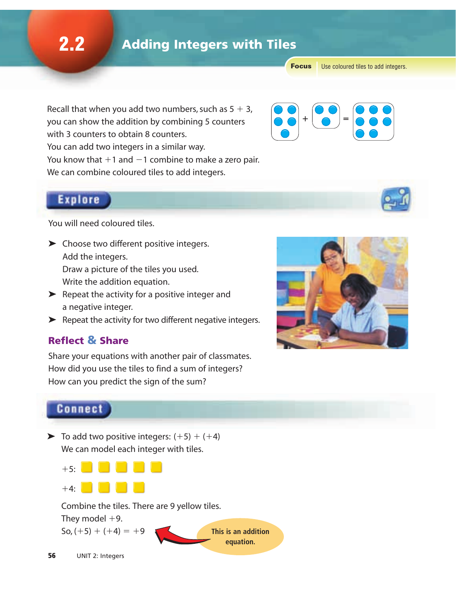**Focus** Use coloured tiles to add integers.

Recall that when you add two numbers, such as  $5 + 3$ , you can show the addition by combining 5 counters with 3 counters to obtain 8 counters. You can add two integers in a similar way. You know that  $+1$  and  $-1$  combine to make a zero pair. We can combine coloured tiles to add integers.



## **Explore**

You will need coloured tiles.

➤ Choose two different positive integers. Add the integers.

Draw a picture of the tiles you used. Write the addition equation.

- $\blacktriangleright$  Repeat the activity for a positive integer and a negative integer.
- $\blacktriangleright$  Repeat the activity for two different negative integers.

#### Reflect & Share

Share your equations with another pair of classmates. How did you use the tiles to find a sum of integers? How can you predict the sign of the sum?



## **Connect**

 $\triangleright$  To add two positive integers:  $(+5) + (+4)$ We can model each integer with tiles.



Combine the tiles. There are 9 yellow tiles.

**equation.**

They model  $+9$ .

 $\text{So, } (+5) + (+4) = +9$  **This is an addition** 

56 UNIT 2: Integers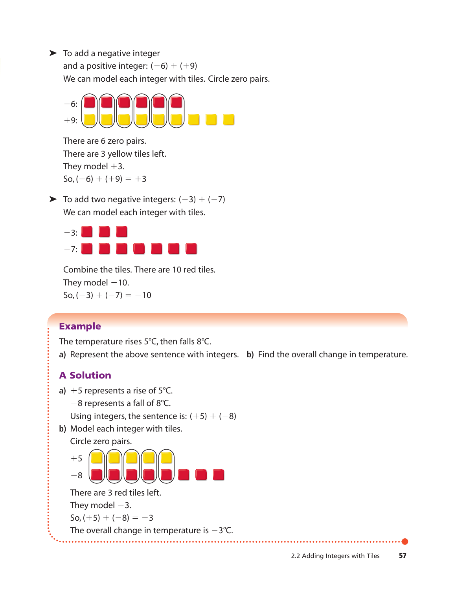$\blacktriangleright$  To add a negative integer

and a positive integer:  $(-6) + (+9)$ 

We can model each integer with tiles. Circle zero pairs.



There are 6 zero pairs. There are 3 yellow tiles left. They model  $+3$ . So,  $(-6) + (+9) = +3$ 

 $\triangleright$  To add two negative integers:  $(-3) + (-7)$ We can model each integer with tiles.



Combine the tiles. There are 10 red tiles. They model  $-10$ .  $\text{So}, (-3) + (-7) = -10$ 

## Example

The temperature rises 5°C, then falls 8°C.

**a)** Represent the above sentence with integers. **b)** Find the overall change in temperature.

## A Solution

- **a)**  $+5$  represents a rise of  $5^{\circ}$ C.
	- $-8$  represents a fall of 8°C.
	- Using integers, the sentence is:  $(+5) + (-8)$
- **b)** Model each integer with tiles.
	- Circle zero pairs.

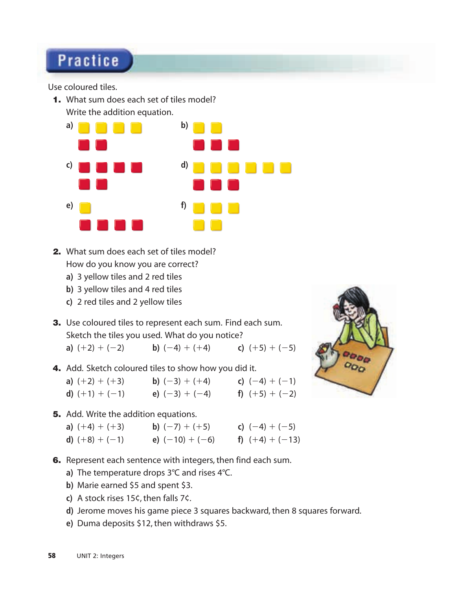# **Practice**

Use coloured tiles.

1. What sum does each set of tiles model? Write the addition equation.



- 2. What sum does each set of tiles model? How do you know you are correct?
	- **a)** 3 yellow tiles and 2 red tiles
	- **b)** 3 yellow tiles and 4 red tiles
	- **c)** 2 red tiles and 2 yellow tiles
- 3. Use coloured tiles to represent each sum. Find each sum. Sketch the tiles you used. What do you notice?

**a)**  $(+2) + (-2)$  **b)**  $(-4) + (+4)$  **c)**  $(+5) + (-5)$ 

4. Add. Sketch coloured tiles to show how you did it.

| a) $(+2) + (+3)$ | <b>b</b> ) $(-3) + (+4)$ | c) $(-4) + (-1)$ |
|------------------|--------------------------|------------------|
| d) $(+1) + (-1)$ | e) $(-3) + (-4)$         | f) $(+5) + (-2)$ |

**5.** Add. Write the addition equations.

| a) $(+4) + (+3)$ | <b>b</b> ) $(-7) + (+5)$ | c) $(-4) + (-5)$  |
|------------------|--------------------------|-------------------|
| d) $(+8) + (-1)$ | e) $(-10) + (-6)$        | f) $(+4) + (-13)$ |

- **6.** Represent each sentence with integers, then find each sum.
	- **a)** The temperature drops 3°C and rises 4°C.
	- **b)** Marie earned \$5 and spent \$3.
	- **c)** A stock rises 15¢, then falls 7¢.
	- **d)** Jerome moves his game piece 3 squares backward, then 8 squares forward.
	- **e)** Duma deposits \$12, then withdraws \$5.